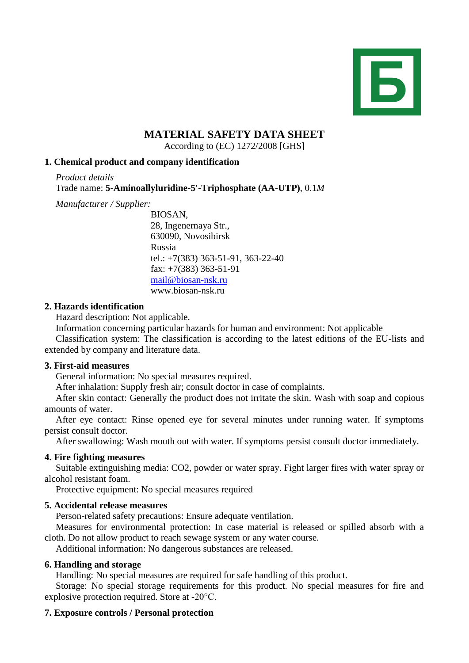

# **MATERIAL SAFETY DATA SHEET**

According to (EC) 1272/2008 [GHS]

# **1. Chemical product and company identification**

*Product details* Trade name: **5-Aminoallyluridine-5'-Triphosphate (AA-UTP)**, 0.1*M*

*Manufacturer / Supplier:*

BIOSAN, 28, Ingenernaya Str., 630090, Novosibirsk Russia tel.: +7(383) 363-51-91, 363-22-40 fax: +7(383) 363-51-91 [mail@biosan-nsk.ru](mailto:mail@biosan-nsk.ru) [www.biosan-nsk.ru](http://www.biosan-nsk.ru/)

## **2. Hazards identification**

Hazard description: Not applicable.

Information concerning particular hazards for human and environment: Not applicable

Classification system: The classification is according to the latest editions of the EU-lists and extended by company and literature data.

## **3. First-aid measures**

General information: No special measures required.

After inhalation: Supply fresh air; consult doctor in case of complaints.

After skin contact: Generally the product does not irritate the skin. Wash with soap and copious amounts of water.

After eye contact: Rinse opened eye for several minutes under running water. If symptoms persist consult doctor.

After swallowing: Wash mouth out with water. If symptoms persist consult doctor immediately.

## **4. Fire fighting measures**

Suitable extinguishing media: CO2, powder or water spray. Fight larger fires with water spray or alcohol resistant foam.

Protective equipment: No special measures required

## **5. Accidental release measures**

Person-related safety precautions: Ensure adequate ventilation.

Measures for environmental protection: In case material is released or spilled absorb with a cloth. Do not allow product to reach sewage system or any water course.

Additional information: No dangerous substances are released.

## **6. Handling and storage**

Handling: No special measures are required for safe handling of this product.

Storage: No special storage requirements for this product. No special measures for fire and explosive protection required. Store at -20°C.

## **7. Exposure controls / Personal protection**